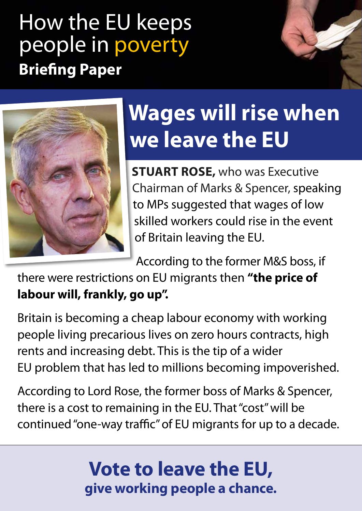## How the EU keeps people in poverty **Briefing Paper**



# **Wages will rise when we leave the EU**

**STUART ROSE,** who was Executive Chairman of Marks & Spencer, speaking to MPs suggested that wages of low skilled workers could rise in the event of Britain leaving the EU.

According to the former M&S boss, if

there were restrictions on EU migrants then **"the price of labour will, frankly, go up".**

Britain is becoming a cheap labour economy with working people living precarious lives on zero hours contracts, high rents and increasing debt. This is the tip of a wider EU problem that has led to millions becoming impoverished.

According to Lord Rose, the former boss of Marks & Spencer, there is a cost to remaining in the EU. That "cost" will be continued "one-way traffic" of EU migrants for up to a decade.

### **Vote to leave the EU, give working people a chance.**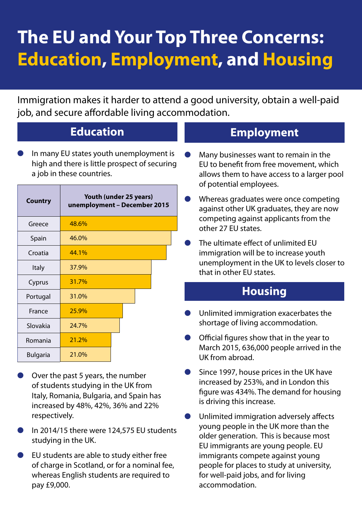### **The EU and Your Top Three Concerns: Education, Employment, and Housing**

Immigration makes it harder to attend a good university, obtain a well-paid job, and secure affordable living accommodation.

#### **Education**

In many EU states youth unemployment is high and there is little prospect of securing a job in these countries.

| Country         | Youth (under 25 years)<br>unemployment - December 2015 |
|-----------------|--------------------------------------------------------|
| Greece          | 48.6%                                                  |
| Spain           | 46.0%                                                  |
| Croatia         | 44.1%                                                  |
| Italy           | 37.9%                                                  |
| Cyprus          | 31.7%                                                  |
| Portugal        | 31.0%                                                  |
| France          | 25.9%                                                  |
| Slovakia        | 24.7%                                                  |
| Romania         | 21.2%                                                  |
| <b>Bulgaria</b> | 21.0%                                                  |

- Over the past 5 years, the number of students studying in the UK from Italy, Romania, Bulgaria, and Spain has increased by 48%, 42%, 36% and 22% respectively.
- In 2014/15 there were 124,575 EU students studying in the UK.
- EU students are able to study either free of charge in Scotland, or for a nominal fee, whereas English students are required to pay £9,000.

#### **Employment**

- Many businesses want to remain in the EU to benefit from free movement, which allows them to have access to a larger pool of potential employees.
- Whereas graduates were once competing against other UK graduates, they are now competing against applicants from the other 27 EU states.
- The ultimate effect of unlimited FU immigration will be to increase youth unemployment in the UK to levels closer to that in other EU states.

#### **Housing**

- Unlimited immigration exacerbates the shortage of living accommodation.
- Official figures show that in the year to March 2015, 636,000 people arrived in the UK from abroad.
- Since 1997, house prices in the UK have increased by 253%, and in London this figure was 434%. The demand for housing is driving this increase.
- Unlimited immigration adversely affects young people in the UK more than the older generation. This is because most EU immigrants are young people. EU immigrants compete against young people for places to study at university, for well-paid jobs, and for living accommodation.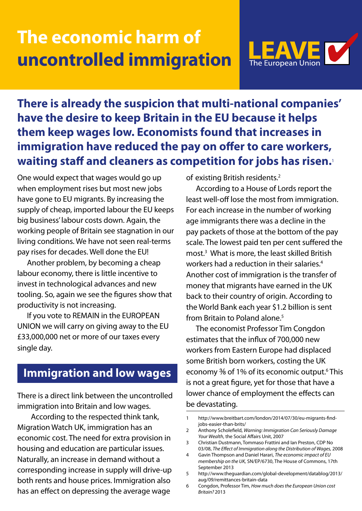### **The economic harm of uncontrolled immigration**



**There is already the suspicion that multi-national companies' have the desire to keep Britain in the EU because it helps them keep wages low. Economists found that increases in immigration have reduced the pay on offer to care workers, waiting staff and cleaners as competition for jobs has risen.**<sup>1</sup>

One would expect that wages would go up when employment rises but most new jobs have gone to EU migrants. By increasing the supply of cheap, imported labour the EU keeps big business' labour costs down. Again, the working people of Britain see stagnation in our living conditions. We have not seen real-terms pay rises for decades. Well done the EU!

Another problem, by becoming a cheap labour economy, there is little incentive to invest in technological advances and new tooling. So, again we see the figures show that productivity is not increasing.

If you vote to REMAIN in the EUROPEAN UNION we will carry on giving away to the EU £33,000,000 net or more of our taxes every single day.

#### **Immigration and low wages**

There is a direct link between the uncontrolled immigration into Britain and low wages.

According to the respected think tank, Migration Watch UK, immigration has an economic cost. The need for extra provision in housing and education are particular issues. Naturally, an increase in demand without a corresponding increase in supply will drive-up both rents and house prices. Immigration also has an effect on depressing the average wage

of existing British residents.<sup>2</sup>

According to a House of Lords report the least well-off lose the most from immigration. For each increase in the number of working age immigrants there was a decline in the pay packets of those at the bottom of the pay scale. The lowest paid ten per cent suffered the most.3 What is more, the least skilled British workers had a reduction in their salaries.4 Another cost of immigration is the transfer of money that migrants have earned in the UK back to their country of origin. According to the World Bank each year \$1.2 billion is sent from Britain to Poland alone.<sup>5</sup>

The economist Professor Tim Congdon estimates that the influx of 700,000 new workers from Eastern Europe had displaced some British born workers, costing the UK economy <sup>3</sup>% of 1% of its economic output.<sup>6</sup> This is not a great figure, yet for those that have a lower chance of employment the effects can be devastating.

<sup>1</sup> http://www.breitbart.com/london/2014/07/30/eu-migrants-findjobs-easier-than-brits/

<sup>2</sup> Anthony Scholefield, *Warning: Immigration Can Seriously Damage Your Wealth*, the Social Affairs Unit, 2007

<sup>3</sup> Christian Dustmann, Tommaso Frattini and Ian Preston, CDP No 03/08, *The Effect of Immigration along the Distribution of Wages,* 2008

<sup>4</sup> Gavin Thompson and Daniel Harari, *The economic impact of EU membership on the UK,* SN/EP/6730, The House of Commons, 17th September 2013

<sup>5</sup> http://www.theguardian.com/global-development/datablog/2013/ aug/09/remittances-britain-data

<sup>6</sup> Congdon, Professor Tim, *How much does the European Union cost Britain?* 2013